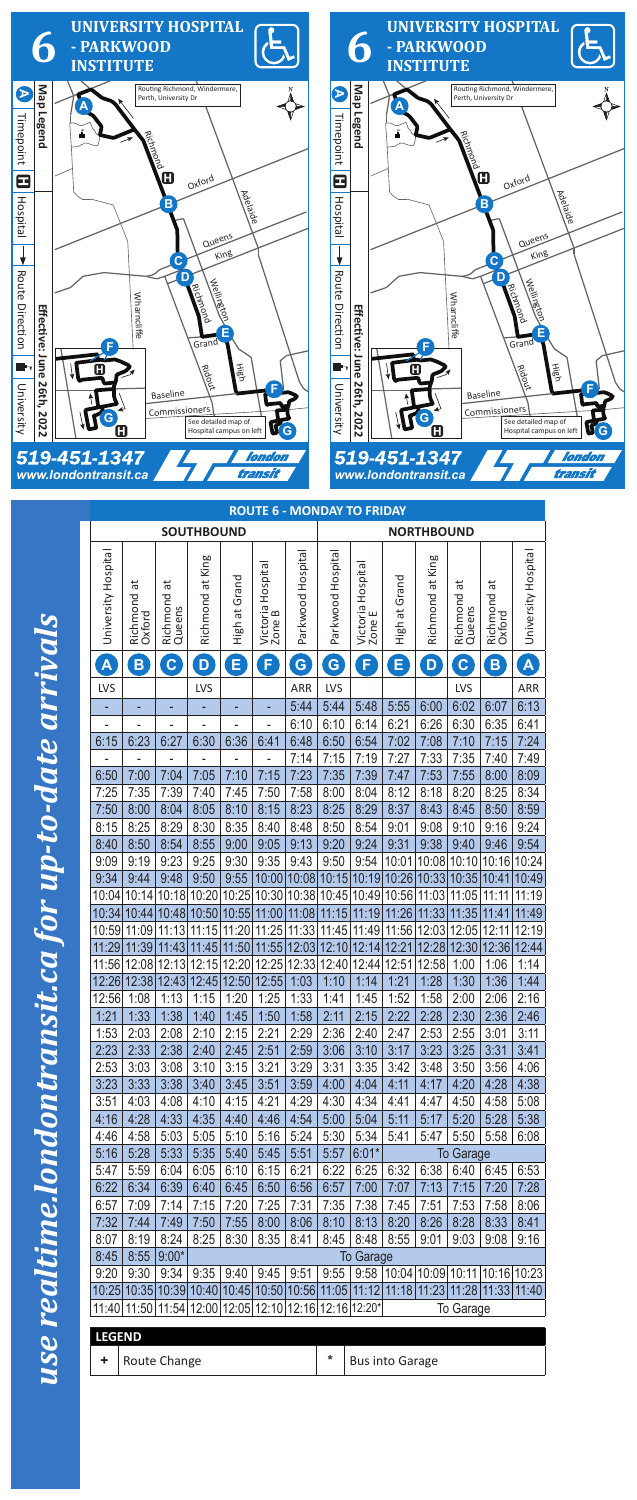|   | Web and the         |
|---|---------------------|
|   |                     |
|   |                     |
|   |                     |
|   |                     |
|   |                     |
|   | עם מערבי            |
|   |                     |
|   |                     |
|   |                     |
|   | $\sum_{i=1}^n$      |
|   |                     |
|   |                     |
|   |                     |
|   |                     |
|   |                     |
|   |                     |
|   |                     |
|   |                     |
|   |                     |
|   |                     |
|   |                     |
| I |                     |
|   |                     |
|   |                     |
|   |                     |
|   | <b>TOTAL NATURE</b> |
|   |                     |
|   |                     |
|   |                     |
|   |                     |
|   |                     |
|   |                     |
|   |                     |
|   |                     |
|   |                     |
|   |                     |
|   |                     |
|   |                     |
|   |                     |
|   |                     |
| I |                     |
|   |                     |
|   |                     |
|   |                     |
|   |                     |
|   |                     |
|   |                     |
|   | ות האת אירו אין האי |

|  | <b>LEGEND</b> |   |                        |
|--|---------------|---|------------------------|
|  | Route Change  | * | <b>Bus into Garage</b> |



|                     | <b>ROUTE 6 - MONDAY TO FRIDAY</b> |                                                                                     |                   |               |                             |                   |                   |                             |                                                         |                  |                           |                         |                         |  |
|---------------------|-----------------------------------|-------------------------------------------------------------------------------------|-------------------|---------------|-----------------------------|-------------------|-------------------|-----------------------------|---------------------------------------------------------|------------------|---------------------------|-------------------------|-------------------------|--|
|                     |                                   |                                                                                     | <b>SOUTHBOUND</b> |               |                             |                   | <b>NORTHBOUND</b> |                             |                                                         |                  |                           |                         |                         |  |
|                     |                                   |                                                                                     |                   |               |                             |                   |                   |                             |                                                         |                  |                           |                         |                         |  |
| University Hospital | ಸ<br>Richmond<br>Oxford           | ã<br>Richmond a<br>Queens                                                           | Richmond at King  | High at Grand | Victoria Hospital<br>Zone B | Parkwood Hospital | Parkwood Hospital | Victoria Hospital<br>Zone E | Grand<br>đ<br>High                                      | Richmond at King | ä<br>Richmond a<br>Queens | ã<br>Richmond<br>Oxford | University Hospital     |  |
| A                   | B                                 | $\mathbf C$                                                                         | D                 | E             | Ø                           | G                 | G                 | F                           | Е                                                       | D                | $\mathbf C$               | B                       | $\overline{\mathsf{A}}$ |  |
| LVS                 |                                   |                                                                                     | LVS               |               |                             | ARR               | LVS               |                             |                                                         |                  | LVS                       |                         | ARR                     |  |
|                     |                                   |                                                                                     |                   |               |                             | 5:44              | 5:44              | 5:48                        | 5:55                                                    | 6:00             | 6:02                      | 6:07                    | 6:13                    |  |
|                     |                                   |                                                                                     |                   |               |                             | 6:10              | 6:10              | 6:14                        | 6:21                                                    | 6:26             | 6:30                      | 6:35                    | 6:41                    |  |
| 6:15                | 6:23                              | 6:27                                                                                | 6:30              | 6:36          | 6:41                        | 6:48              | 6:50              | 6:54                        | 7:02                                                    | 7:08             | 7:10                      | 7:15                    | 7:24                    |  |
| $\blacksquare$      |                                   |                                                                                     |                   |               |                             | 7:14              | 7:15              | 7:19                        | 7:27                                                    | 7:33             | 7:35                      | 7:40                    | 7:49                    |  |
| 6:50                | 7:00                              | 7:04                                                                                | 7:05              | 7:10          | 7:15                        | 7:23              | 7:35              | 7:39                        | 7:47                                                    | 7:53             | 7:55                      | 8:00                    | 8:09                    |  |
| 7:25                | 7:35                              | 7:39                                                                                | 7:40              | 7:45          | 7:50                        | 7:58              | 8:00              | 8:04                        | 8:12                                                    | 8:18             | 8:20                      | 8:25                    | 8:34                    |  |
| 7:50                | 8:00                              | 8:04                                                                                | 8:05              | 8:10          | 8:15                        | 8:23              | 8:25              | 8:29                        | 8:37                                                    | 8:43             | 8:45                      | 8:50                    | 8:59                    |  |
| 8:15                | 8:25                              | 8:29                                                                                | 8:30              | 8:35          | 8:40                        | 8:48              | 8:50              | 8:54<br>9:24                | 9:01                                                    | 9:08             | 9:10<br>9:40              | 9:16                    | 9:24<br>9:54            |  |
| 8:40<br>9:09        | 8:50<br>9:19                      | 8:54<br>9:23                                                                        | 8:55<br>9:25      | 9:00<br>9:30  | 9:05<br>9:35                | 9:13<br>9:43      | 9:20<br>9:50      | 9:54                        | 9:31<br>10:01                                           | 9:38<br>10:08    | 10:10                     | 9:46<br>10:16           | 10:24                   |  |
| 9:34                | 9:44                              | 9:48                                                                                | 9:50              | 9:55          | 10:00                       | 10:08             | 10:15             | 10:19                       | 10:26                                                   | 10:33            | 10:35                     | 10:41                   | 10:49                   |  |
| 10:04               | 10:14                             | 10:18                                                                               | 10:20             | 10:25         | 10:30                       | 10:38             | 10:45             | 10:49                       | 10:56                                                   | 11:03            | 11:05                     | 11:11                   | 11:19                   |  |
| 10:34               | 10:44                             | 10:48                                                                               | 10:50             | 10:55         | 11:00                       | 11:08             | 11:15             | 11:19                       | 11:26                                                   | 11:33            | 11:35                     | 11:41                   | 11:49                   |  |
| 10:59               | 11:09                             | 11:13                                                                               | 11:15             | 11:20         | 11:25                       | 11:33             | 11:45             | 11:49                       | 11:56                                                   | 12:03            | 12:05                     | 12:11                   | 12:19                   |  |
| 11:29               | 11:39                             | 11:43                                                                               | 11:45             | 11:50         | 11:55                       | 12:03             | 12:10             | 12:14                       | 12:21                                                   | 12:28            | 12:30                     | 12:36                   | 12:44                   |  |
| 11:56               | 12:08                             | 12:13                                                                               | 12:15             | 12:20         | 12:25                       | 12:33             | 12:40             | 12:44                       | 12:51                                                   | 12:58            | 1:00                      | 1:06                    | 1:14                    |  |
| 12:26               | 12:38                             | 12:43                                                                               | 12:45             | 12:50         | 12:55                       | 1:03              | 1:10              | 1:14                        | 1:21                                                    | 1:28             | 1:30                      | 1:36                    | 1:44                    |  |
| 12:56               | 1:08                              | 1:13                                                                                | 1:15              | 1:20          | 1:25                        | 1:33              | 1:41              | 1:45                        | 1:52                                                    | 1:58             | 2:00                      | 2:06                    | 2:16                    |  |
| 1:21                | 1:33                              | 1:38                                                                                | 1:40              | 1:45          | 1:50                        | 1:58              | 2:11              | 2:15                        | 2:22                                                    | 2:28             | 2:30                      | 2:36                    | 2:46                    |  |
| 1:53                | 2:03                              | 2:08                                                                                | 2:10              | 2:15          | 2:21                        | 2:29              | 2:36              | 2:40                        | 2:47                                                    | 2:53             | 2:55                      | 3:01                    | 3:11                    |  |
| 2:23                | 2:33                              | 2:38                                                                                | 2:40              | 2:45          | 2:51                        | 2:59              | 3:06              | 3:10                        | 3:17                                                    | 3:23             | 3:25                      | 3:31                    | 3:41                    |  |
| 2:53                | 3:03                              | 3:08                                                                                | 3:10              | 3:15          | 3:21                        | 3:29              | 3:31              | 3:35                        | 3:42                                                    | 3:48             | 3:50                      | 3:56                    | 4:06                    |  |
| 3:23                | 3:33                              | 3:38                                                                                | 3:40              | 3:45          | 3:51                        | 3:59              | 4:00              | 4:04                        | 4:11                                                    | 4:17             | 4:20                      | 4:28                    | 4:38                    |  |
| 3:51                | 4:03                              | 4:08                                                                                | 4:10              | 4:15          | 4:21                        | 4:29              | 4:30              | 4:34                        | 4:41                                                    | 4:47             | 4:50                      | 4:58                    | 5:08                    |  |
| 4:16                | 4:28                              | 4:33                                                                                | 4:35              | 4:40          | 4:46                        | 4:54              | 5:00              | 5:04                        | 5:11                                                    | 5:17             | 5:20                      | 5:28                    | 5:38                    |  |
| 4:46                | 4:58                              | 5:03                                                                                | 5:05              | 5:10          | 5:16                        | 5:24              | 5:30              | 5:34                        | 5:41                                                    | 5:47             | 5:50                      | 5:58                    | 6:08                    |  |
| 5:16<br>5:47        | 5:28<br>5:59                      | 5:33<br>6:04                                                                        | 5:35<br>6:05      | 5:40<br>6:10  | 5:45<br>6:15                | 5:51<br>6:21      | 5:57<br>6:22      | $6:01*$<br>6:25             | 6:32                                                    | 6:38             | <b>To Garage</b><br>6:40  | 6:45                    | 6:53                    |  |
| 6:22                | 6:34                              | 6:39                                                                                | 6:40              | 6:45          | 6:50                        | 6:56              | 6:57              | 7:00                        | 7:07                                                    | 7:13             | 7:15                      | 7:20                    | 7:28                    |  |
| 6:57                | 7:09                              | 7:14                                                                                | 7:15              | 7:20          | 7:25                        | 7:31              | 7:35              | 7:38                        | 7:45                                                    | 7:51             | 7:53                      | 7:58                    | 8:06                    |  |
| 7:32                | 7:44                              | 7:49                                                                                | 7:50              | 7:55          | 8:00                        | 8:06              | 8:10              | 8:13                        | 8:20                                                    | 8:26             | 8:28                      | 8:33                    | 8:41                    |  |
| 8:07                | 8:19                              | 8:24                                                                                | 8:25              | 8:30          | 8:35                        | 8:41              | 8:45              | 8:48                        | 8:55                                                    | 9:01             | 9:03                      | 9:08                    | 9:16                    |  |
| 8:45                | 8:55                              | $9:00*$                                                                             |                   |               |                             |                   |                   | <b>To Garage</b>            |                                                         |                  |                           |                         |                         |  |
| 9:20                | 9:30                              | 9:34                                                                                | 9:35              | 9:40          | 9:45                        | 9:51              |                   |                             | $9:55$   $9:58$   10:04   10:09   10:11   10:16   10:23 |                  |                           |                         |                         |  |
|                     |                                   | 10:25 10:35 10:39 10:40 10:45 10:50 10:56 11:05 11:12 11:18 11:23 11:28 11:33 11:40 |                   |               |                             |                   |                   |                             |                                                         |                  |                           |                         |                         |  |
|                     |                                   | 11:40 11:50 11:54 12:00 12:05 12:10 12:16 12:16 12:20*                              |                   |               |                             |                   |                   |                             |                                                         |                  | To Garage                 |                         |                         |  |

## use realtime.lond